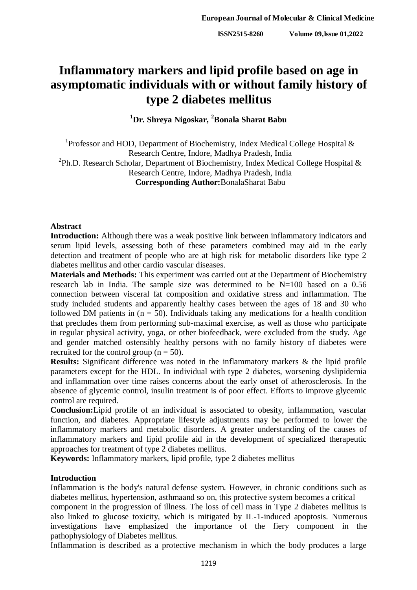# **Inflammatory markers and lipid profile based on age in asymptomatic individuals with or without family history of type 2 diabetes mellitus**

**<sup>1</sup>Dr. Shreya Nigoskar, <sup>2</sup>Bonala Sharat Babu**

<sup>1</sup>Professor and HOD, Department of Biochemistry, Index Medical College Hospital  $\&$ Research Centre, Indore, Madhya Pradesh, India <sup>2</sup>Ph.D. Research Scholar, Department of Biochemistry, Index Medical College Hospital  $\&$ Research Centre, Indore, Madhya Pradesh, India **Corresponding Author:**BonalaSharat Babu

# **Abstract**

**Introduction:** Although there was a weak positive link between inflammatory indicators and serum lipid levels, assessing both of these parameters combined may aid in the early detection and treatment of people who are at high risk for metabolic disorders like type 2 diabetes mellitus and other cardio vascular diseases.

**Materials and Methods:** This experiment was carried out at the Department of Biochemistry research lab in India. The sample size was determined to be N=100 based on a 0.56 connection between visceral fat composition and oxidative stress and inflammation. The study included students and apparently healthy cases between the ages of 18 and 30 who followed DM patients in  $(n = 50)$ . Individuals taking any medications for a health condition that precludes them from performing sub-maximal exercise, as well as those who participate in regular physical activity, yoga, or other biofeedback, were excluded from the study. Age and gender matched ostensibly healthy persons with no family history of diabetes were recruited for the control group ( $n = 50$ ).

**Results:** Significant difference was noted in the inflammatory markers & the lipid profile parameters except for the HDL. In individual with type 2 diabetes, worsening dyslipidemia and inflammation over time raises concerns about the early onset of atherosclerosis. In the absence of glycemic control, insulin treatment is of poor effect. Efforts to improve glycemic control are required.

**Conclusion:**Lipid profile of an individual is associated to obesity, inflammation, vascular function, and diabetes. Appropriate lifestyle adjustments may be performed to lower the inflammatory markers and metabolic disorders. A greater understanding of the causes of inflammatory markers and lipid profile aid in the development of specialized therapeutic approaches for treatment of type 2 diabetes mellitus.

**Keywords:** Inflammatory markers, lipid profile, type 2 diabetes mellitus

## **Introduction**

Inflammation is the body's natural defense system. However, in chronic conditions such as diabetes mellitus, hypertension, asthmaand so on, this protective system becomes a critical

component in the progression of illness. The loss of cell mass in Type 2 diabetes mellitus is also linked to glucose toxicity, which is mitigated by IL-1-induced apoptosis. Numerous investigations have emphasized the importance of the fiery component in the pathophysiology of Diabetes mellitus.

Inflammation is described as a protective mechanism in which the body produces a large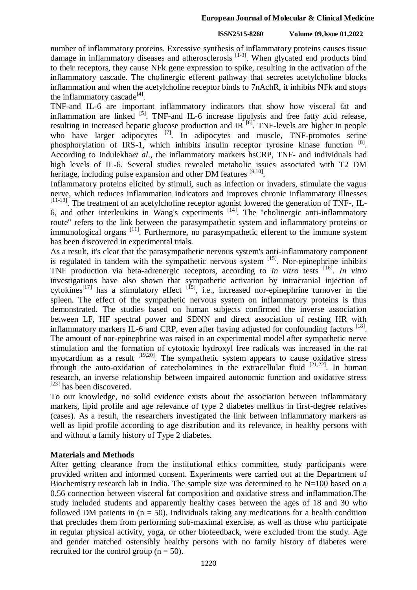### **ISSN2515-8260 Volume 09,Issue 01,2022**

number of inflammatory proteins. Excessive synthesis of inflammatory proteins causes tissue damage in inflammatory diseases and atherosclerosis  $[1-3]$ . When glycated end products bind to their receptors, they cause NFk gene expression to spike, resulting in the activation of the inflammatory cascade. The cholinergic efferent pathway that secretes acetylcholine blocks inflammation and when the acetylcholine receptor binds to 7nAchR, it inhibits NFk and stops the inflammatory cascade<sup>[4]</sup>.

TNF-and IL-6 are important inflammatory indicators that show how visceral fat and inflammation are linked  $^{[5]}$ . TNF-and IL-6 increase lipolysis and free fatty acid release, resulting in increased hepatic glucose production and  $IR^{[6]}$ . TNF-levels are higher in people who have larger adipocytes <sup>[7]</sup>. In adipocytes and muscle, TNF-promotes serine phosphorylation of IRS-1, which inhibits insulin receptor tyrosine kinase function [8]. According to Indulekha*et al*., the inflammatory markers hsCRP, TNF- and individuals had high levels of IL-6. Several studies revealed metabolic issues associated with T2 DM heritage, including pulse expansion and other DM features [9,10].

Inflammatory proteins elicited by stimuli, such as infection or invaders, stimulate the vagus nerve, which reduces inflammation indicators and improves chronic inflammatory illnesses [11-13]. The treatment of an acetylcholine receptor agonist lowered the generation of TNF-, IL- $6$ , and other interleukins in Wang's experiments  $[14]$ . The "cholinergic anti-inflammatory route" refers to the link between the parasympathetic system and inflammatory proteins or immunological organs<sup>[11]</sup>. Furthermore, no parasympathetic efferent to the immune system has been discovered in experimental trials.

As a result, it's clear that the parasympathetic nervous system's anti-inflammatory component is regulated in tandem with the sympathetic nervous system  $^{[15]}$ . Nor-epinephrine inhibits TNF production via beta-adrenergic receptors, according to *in vitro* tests [16] . *In vitro* investigations have also shown that sympathetic activation by intracranial injection of cytokines<sup>[17]</sup> has a stimulatory effect  $[$ <sup>[15]</sup>, i.e., increased nor-epinephrine turnover in the spleen. The effect of the sympathetic nervous system on inflammatory proteins is thus demonstrated. The studies based on human subjects confirmed the inverse association between LF, HF spectral power and SDNN and direct association of resting HR with inflammatory markers IL-6 and CRP, even after having adjusted for confounding factors [18]. The amount of nor-epinephrine was raised in an experimental model after sympathetic nerve stimulation and the formation of cytotoxic hydroxyl free radicals was increased in the rat myocardium as a result  $[19,20]$ . The sympathetic system appears to cause oxidative stress through the auto-oxidation of catecholamines in the extracellular fluid  $[21,22]$ . In human research, an inverse relationship between impaired autonomic function and oxidative stress [23] has been discovered.

To our knowledge, no solid evidence exists about the association between inflammatory markers, lipid profile and age relevance of type 2 diabetes mellitus in first-degree relatives (cases). As a result, the researchers investigated the link between inflammatory markers as well as lipid profile according to age distribution and its relevance, in healthy persons with and without a family history of Type 2 diabetes.

# **Materials and Methods**

After getting clearance from the institutional ethics committee, study participants were provided written and informed consent. Experiments were carried out at the Department of Biochemistry research lab in India. The sample size was determined to be N=100 based on a 0.56 connection between visceral fat composition and oxidative stress and inflammation.The study included students and apparently healthy cases between the ages of 18 and 30 who followed DM patients in  $(n = 50)$ . Individuals taking any medications for a health condition that precludes them from performing sub-maximal exercise, as well as those who participate in regular physical activity, yoga, or other biofeedback, were excluded from the study. Age and gender matched ostensibly healthy persons with no family history of diabetes were recruited for the control group ( $n = 50$ ).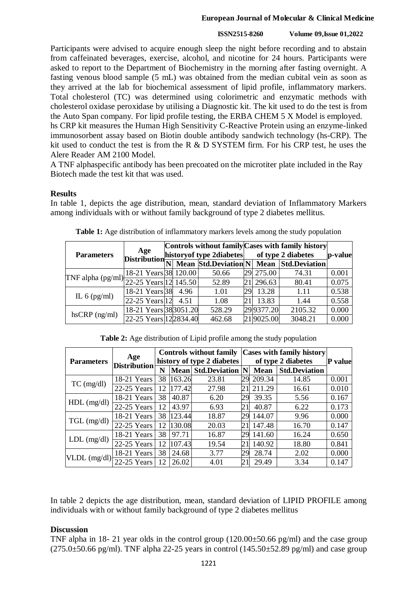# **ISSN2515-8260 Volume 09,Issue 01,2022**

Participants were advised to acquire enough sleep the night before recording and to abstain from caffeinated beverages, exercise, alcohol, and nicotine for 24 hours. Participants were asked to report to the Department of Biochemistry in the morning after fasting overnight. A fasting venous blood sample (5 mL) was obtained from the median cubital vein as soon as they arrived at the lab for biochemical assessment of lipid profile, inflammatory markers. Total cholesterol (TC) was determined using colorimetric and enzymatic methods with cholesterol oxidase peroxidase by utilising a Diagnostic kit. The kit used to do the test is from the Auto Span company. For lipid profile testing, the ERBA CHEM 5 X Model is employed. hs CRP kit measures the Human High Sensitivity C-Reactive Protein using an enzyme-linked immunosorbent assay based on Biotin double antibody sandwich technology (hs-CRP). The kit used to conduct the test is from the R & D SYSTEM firm. For his CRP test, he uses the Alere Reader AM 2100 Model.

A TNF alphaspecific antibody has been precoated on the microtiter plate included in the Ray Biotech made the test kit that was used.

# **Results**

In table 1, depicts the age distribution, mean, standard deviation of Inflammatory Markers among individuals with or without family background of type 2 diabetes mellitus.

| <b>Parameters</b>                                     | Age                                    | history of type 2diabetes |  |        | Controls without family Cases with family history<br>of type 2 diabetes |            |                                         | p-value |
|-------------------------------------------------------|----------------------------------------|---------------------------|--|--------|-------------------------------------------------------------------------|------------|-----------------------------------------|---------|
|                                                       | Distribution $\frac{1}{\vert N \vert}$ |                           |  |        |                                                                         |            | Mean Std.Deviation N Mean Std.Deviation |         |
| [TNF alpha (pg/ml) $\frac{10}{22-25}$ Years 12 145.50 | 18-21 Years 38 120.00                  |                           |  | 50.66  |                                                                         | 29 275.00  | 74.31                                   | 0.001   |
|                                                       |                                        |                           |  | 52.89  |                                                                         | 296.63     | 80.41                                   | 0.075   |
| IL $6$ (pg/ml)                                        | 18-21 Years 38 4.96                    |                           |  | 1.01   | 29                                                                      | 13.28      | 1.11                                    | 0.538   |
|                                                       | 22-25 Years 12 4.51                    |                           |  | 1.08   |                                                                         | 13.83      | 1.44                                    | 0.558   |
| $h$ s $CRP$ (ng/ml)                                   | 18-21 Years 38 3051.20                 |                           |  | 528.29 |                                                                         | 29 9377.20 | 2105.32                                 | 0.000   |
|                                                       | 22-25 Years 122834.40                  |                           |  | 462.68 |                                                                         | 219025.00  | 3048.21                                 | 0.000   |

| Table 1: Age distribution of inflammatory markers levels among the study population |  |  |  |  |
|-------------------------------------------------------------------------------------|--|--|--|--|
|-------------------------------------------------------------------------------------|--|--|--|--|

**Table 2:** Age distribution of Lipid profile among the study population

| <b>Parameters</b> | Age<br><b>Distribution</b> | <b>Controls without family</b><br>history of type 2 diabetes |             |                      | <b>Cases with family history</b><br>of type 2 diabetes |             |                      | <b>P</b> value |
|-------------------|----------------------------|--------------------------------------------------------------|-------------|----------------------|--------------------------------------------------------|-------------|----------------------|----------------|
|                   |                            | N                                                            | <b>Mean</b> | <b>Std.Deviation</b> |                                                        | <b>Mean</b> | <b>Std.Deviation</b> |                |
| $TC$ (mg/dl)      | 18-21 Years                | 38                                                           | 163.26      | 23.81                | 29                                                     | 209.34      | 14.85                | 0.001          |
|                   | 22-25 Years                | 12                                                           | 177.42      | 27.98                | 2                                                      | 211.29      | 16.61                | 0.010          |
| $HDL$ (mg/dl)     | 18-21 Years                | 38                                                           | 40.87       | 6.20                 | 29                                                     | 39.35       | 5.56                 | 0.167          |
|                   | 22-25 Years                | 12                                                           | 43.97       | 6.93                 | $\overline{2}1$                                        | 40.87       | 6.22                 | 0.173          |
| $TGL$ (mg/dl)     | 18-21 Years                | 38                                                           | 123.44      | 18.87                | 29                                                     | 144.07      | 9.96                 | 0.000          |
|                   | 22-25 Years                | 12                                                           | 130.08      | 20.03                | $2^{\prime}$                                           | 147.48      | 16.70                | 0.147          |
| $LDL$ (mg/dl)     | 18-21 Years                | 38                                                           | 97.71       | 16.87                | 29                                                     | 141.60      | 16.24                | 0.650          |
|                   | 22-25 Years                | 12                                                           | 107.43      | 19.54                | 2                                                      | 140.92      | 18.80                | 0.841          |
| VLDL (mg/dl)      | 18-21 Years                | 38                                                           | 24.68       | 3.77                 | 29                                                     | 28.74       | 2.02                 | 0.000          |
|                   | 22-25 Years                | 12                                                           | 26.02       | 4.01                 | 21                                                     | 29.49       | 3.34                 | 0.147          |

In table 2 depicts the age distribution, mean, standard deviation of LIPID PROFILE among individuals with or without family background of type 2 diabetes mellitus

# **Discussion**

TNF alpha in 18- 21 year olds in the control group  $(120.00\pm50.66 \text{ pg/ml})$  and the case group  $(275.0\pm50.66 \text{ pg/ml})$ . TNF alpha 22-25 years in control  $(145.50\pm52.89 \text{ pg/ml})$  and case group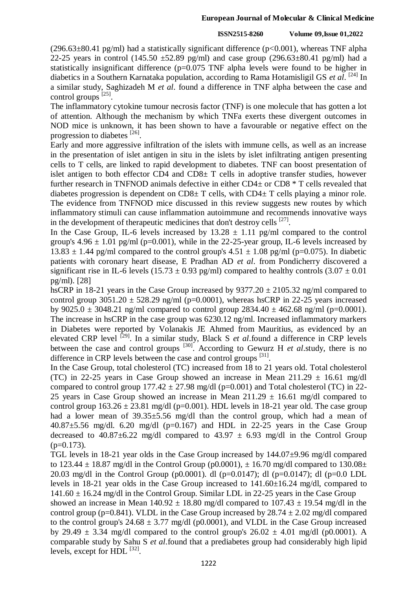### **ISSN2515-8260 Volume 09,Issue 01,2022**

 $(296.63\pm80.41 \text{ pg/ml})$  had a statistically significant difference ( $p<0.001$ ), whereas TNF alpha 22-25 years in control (145.50  $\pm$ 52.89 pg/ml) and case group (296.63 $\pm$ 80.41 pg/ml) had a statistically insignificant difference (p=0.075 TNF alpha levels were found to be higher in diabetics in a Southern Karnataka population, according to Rama Hotamisligil GS *et al*. [24] In a similar study, Saghizadeh M *et al*. found a difference in TNF alpha between the case and control groups <sup>[25]</sup>.

The inflammatory cytokine tumour necrosis factor (TNF) is one molecule that has gotten a lot of attention. Although the mechanism by which TNFa exerts these divergent outcomes in NOD mice is unknown, it has been shown to have a favourable or negative effect on the progression to diabetes [26].

Early and more aggressive infiltration of the islets with immune cells, as well as an increase in the presentation of islet antigen in situ in the islets by islet infiltrating antigen presenting cells to T cells, are linked to rapid development to diabetes. TNF can boost presentation of islet antigen to both effector  $CD4$  and  $CD8<sup>±</sup>$  T cells in adoptive transfer studies, however further research in TNFNOD animals defective in either CD4± or CD8 \* T cells revealed that diabetes progression is dependent on  $CD8\pm T$  cells, with  $CD4\pm T$  cells playing a minor role. The evidence from TNFNOD mice discussed in this review suggests new routes by which inflammatory stimuli can cause inflammation autoimmune and recommends innovative ways in the development of therapeutic medicines that don't destroy cells  $^{[27]}$ .

In the Case Group, IL-6 levels increased by  $13.28 \pm 1.11$  pg/ml compared to the control group's  $4.96 \pm 1.01$  pg/ml (p=0.001), while in the 22-25-year group, IL-6 levels increased by 13.83  $\pm$  1.44 pg/ml compared to the control group's 4.51  $\pm$  1.08 pg/ml (p=0.075). In diabetic patients with coronary heart disease, E Pradhan AD *et al*. from Pondicherry discovered a significant rise in IL-6 levels (15.73  $\pm$  0.93 pg/ml) compared to healthy controls (3.07  $\pm$  0.01 pg/ml). [28]

hsCRP in 18-21 years in the Case Group increased by  $9377.20 \pm 2105.32$  ng/ml compared to control group  $3051.20 \pm 528.29$  ng/ml (p=0.0001), whereas hsCRP in 22-25 years increased by 9025.0  $\pm$  3048.21 ng/ml compared to control group 2834.40  $\pm$  462.68 ng/ml (p=0.0001). The increase in hsCRP in the case group was 6230.12 ng/ml. Increased inflammatory markers in Diabetes were reported by Volanakis JE Ahmed from Mauritius, as evidenced by an elevated CRP level <sup>[29]</sup>. In a similar study, Black S *et al*.found a difference in CRP levels between the case and control groups <sup>[30]</sup>. According to Gewurz H *et al*.study, there is no difference in CRP levels between the case and control groups [31].

In the Case Group, total cholesterol (TC) increased from 18 to 21 years old. Total cholesterol (TC) in 22-25 years in Case Group showed an increase in Mean  $211.29 \pm 16.61$  mg/dl compared to control group  $177.42 \pm 27.98$  mg/dl (p=0.001) and Total cholesterol (TC) in 22-25 years in Case Group showed an increase in Mean  $211.29 \pm 16.61$  mg/dl compared to control group  $163.26 \pm 23.81$  mg/dl (p=0.001). HDL levels in 18-21 year old. The case group had a lower mean of 39.35 $\pm$ 5.56 mg/dl than the control group, which had a mean of  $40.87\pm5.56$  mg/dl. 6.20 mg/dl (p=0.167) and HDL in 22-25 years in the Case Group decreased to  $40.87\pm6.22$  mg/dl compared to  $43.97 \pm 6.93$  mg/dl in the Control Group  $(p=0.173)$ .

TGL levels in 18-21 year olds in the Case Group increased by 144.07±9.96 mg/dl compared to 123.44  $\pm$  18.87 mg/dl in the Control Group (p0.0001),  $\pm$  16.70 mg/dl compared to 130.08 $\pm$ 20.03 mg/dl in the Control Group (p0.0001). dl (p=0.0147); dl (p=0.0147); dl (p=0.0 LDL levels in 18-21 year olds in the Case Group increased to 141.60±16.24 mg/dl, compared to  $141.60 \pm 16.24$  mg/dl in the Control Group. Similar LDL in 22-25 years in the Case Group

showed an increase in Mean  $140.92 \pm 18.80$  mg/dl compared to  $107.43 \pm 19.54$  mg/dl in the control group (p=0.841). VLDL in the Case Group increased by  $28.74 \pm 2.02$  mg/dl compared to the control group's  $24.68 \pm 3.77$  mg/dl (p0.0001), and VLDL in the Case Group increased by 29.49  $\pm$  3.34 mg/dl compared to the control group's 26.02  $\pm$  4.01 mg/dl (p0.0001). A comparable study by Sahu S *et al*.found that a prediabetes group had considerably high lipid levels, except for  $HDL$ <sup>[32]</sup>.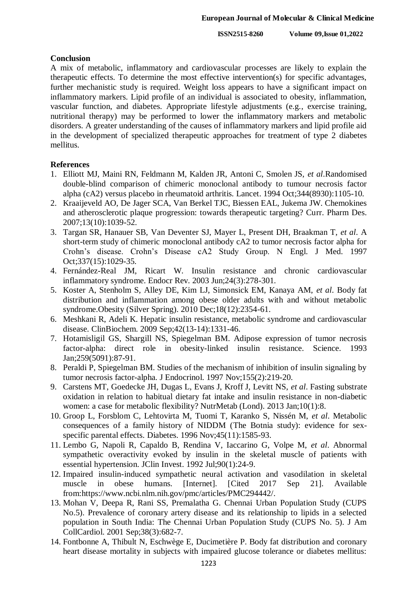## **Conclusion**

A mix of metabolic, inflammatory and cardiovascular processes are likely to explain the therapeutic effects. To determine the most effective intervention(s) for specific advantages, further mechanistic study is required. Weight loss appears to have a significant impact on inflammatory markers. Lipid profile of an individual is associated to obesity, inflammation, vascular function, and diabetes. Appropriate lifestyle adjustments (e.g., exercise training, nutritional therapy) may be performed to lower the inflammatory markers and metabolic disorders. A greater understanding of the causes of inflammatory markers and lipid profile aid in the development of specialized therapeutic approaches for treatment of type 2 diabetes mellitus.

# **References**

- 1. Elliott MJ, Maini RN, Feldmann M, Kalden JR, Antoni C, Smolen JS, *et al*.Randomised double-blind comparison of chimeric monoclonal antibody to tumour necrosis factor alpha (cA2) versus placebo in rheumatoid arthritis. Lancet. 1994 Oct;344(8930):1105-10.
- 2. Kraaijeveld AO, De Jager SCA, Van Berkel TJC, Biessen EAL, Jukema JW. Chemokines and atherosclerotic plaque progression: towards therapeutic targeting? Curr. Pharm Des. 2007;13(10):1039-52.
- 3. Targan SR, Hanauer SB, Van Deventer SJ, Mayer L, Present DH, Braakman T, *et al*. A short-term study of chimeric monoclonal antibody cA2 to tumor necrosis factor alpha for Crohn's disease. Crohn's Disease cA2 Study Group. N Engl. J Med. 1997 Oct;337(15):1029-35.
- 4. Fernández-Real JM, Ricart W. Insulin resistance and chronic cardiovascular inflammatory syndrome. Endocr Rev. 2003 Jun;24(3):278-301.
- 5. Koster A, Stenholm S, Alley DE, Kim LJ, Simonsick EM, Kanaya AM, *et al*. Body fat distribution and inflammation among obese older adults with and without metabolic syndrome.Obesity (Silver Spring). 2010 Dec;18(12):2354-61.
- 6. Meshkani R, Adeli K. Hepatic insulin resistance, metabolic syndrome and cardiovascular disease. ClinBiochem. 2009 Sep;42(13-14):1331-46.
- 7. Hotamisligil GS, Shargill NS, Spiegelman BM. Adipose expression of tumor necrosis factor-alpha: direct role in obesity-linked insulin resistance. Science. 1993 Jan;259(5091):87-91.
- 8. Peraldi P, Spiegelman BM. Studies of the mechanism of inhibition of insulin signaling by tumor necrosis factor-alpha. J Endocrinol. 1997 Nov;155(2):219-20.
- 9. Carstens MT, Goedecke JH, Dugas L, Evans J, Kroff J, Levitt NS, *et al*. Fasting substrate oxidation in relation to habitual dietary fat intake and insulin resistance in non-diabetic women: a case for metabolic flexibility? NutrMetab (Lond). 2013 Jan;10(1):8.
- 10. Groop L, Forsblom C, Lehtovirta M, Tuomi T, Karanko S, Nissén M, *et al*. Metabolic consequences of a family history of NIDDM (The Botnia study): evidence for sexspecific parental effects. Diabetes. 1996 Nov; 45(11): 1585-93.
- 11. Lembo G, Napoli R, Capaldo B, Rendina V, Iaccarino G, Volpe M, *et al*. Abnormal sympathetic overactivity evoked by insulin in the skeletal muscle of patients with essential hypertension. JClin Invest. 1992 Jul;90(1):24-9.
- 12. Impaired insulin-induced sympathetic neural activation and vasodilation in skeletal muscle in obese humans. [Internet]. [Cited 2017 Sep 21]. Available from:https://www.ncbi.nlm.nih.gov/pmc/articles/PMC294442/.
- 13. Mohan V, Deepa R, Rani SS, Premalatha G. Chennai Urban Population Study (CUPS No.5). Prevalence of coronary artery disease and its relationship to lipids in a selected population in South India: The Chennai Urban Population Study (CUPS No. 5). J Am CollCardiol. 2001 Sep;38(3):682-7.
- 14. Fontbonne A, Thibult N, Eschwège E, Ducimetière P. Body fat distribution and coronary heart disease mortality in subjects with impaired glucose tolerance or diabetes mellitus: